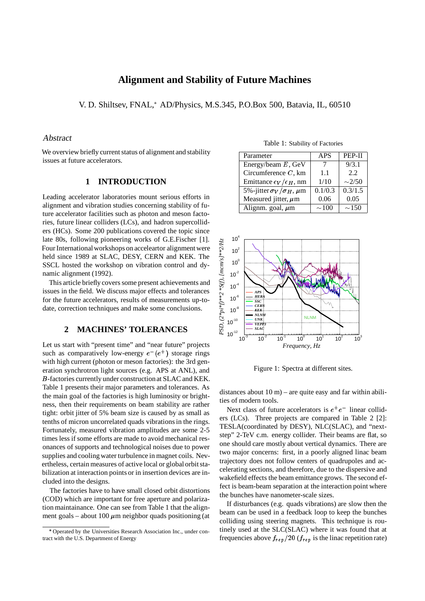# **Alignment and Stability of Future Machines**

V. D. Shiltsev, FNAL, AD/Physics, M.S.345, P.O.Box 500, Batavia, IL, 60510

### Abstract

We overview briefly current status of alignment and stability issues at future accelerators.

#### **1 INTRODUCTION**

Leading accelerator laboratories mount serious efforts in alignment and vibration studies concerning stability of future accelerator facilities such as photon and meson factories, future linear colliders (LCs), and hadron supercolliders (HCs). Some 200 publications covered the topic since late 80s, following pioneering works of G.E.Fischer [1]. Four International workshops on acceleartor alignment were held since 1989 at SLAC, DESY, CERN and KEK. The SSCL hosted the workshop on vibration control and dynamic alignment (1992).

This article briefly covers some present achievements and issues in the field. We discuss major effects and tolerances for the future accelerators, results of measurements up-todate, correction techniques and make some conclusions.

## **2 MACHINES' TOLERANCES**

Let us start with "present time" and "near future" projects such as comparatively low-energy  $e^-(e^+)$  storage rings with high current (photon or meson factories): the 3rd generation synchrotron light sources (e.g. APS at ANL), and B-factories currently under constructionat SLAC and KEK. Table 1 presents their major parameters and tolerances. As the main goal of the factories is high luminosity or brightness, then their requirements on beam stability are rather tight: orbit jitter of 5% beam size is caused by as small as tenths of micron uncorrelated quads vibrations in the rings. Fortunately, measured vibration amplitudes are some 2-5 times less if some efforts are made to avoid mechanical resonances of supports and technological noises due to power supplies and cooling water turbulence in magnet coils. Nevertheless, certain measures of active local or global orbit stabilization at interaction points or in insertion devices are included into the designs.

The factories have to have small closed orbit distortions (COD) which are important for free aperture and polarization maintainance. One can see from Table 1 that the alignment goals – about 100  $\mu$ m neighbor quads positioning (at

| Parameter                               | <b>APS</b>  | PEP-II      |
|-----------------------------------------|-------------|-------------|
| Energy/beam $E$ , GeV                   |             | 9/3.1       |
| Circumference $C$ , km                  | 1.1         | 2.2         |
| Emittance $\epsilon_V/\epsilon_H$ , nm  | 1/10        | $\sim$ 2/50 |
|                                         |             |             |
| 5%-jitter $\sigma_V/\sigma_H$ , $\mu$ m | 0.1/0.3     | 0.3/1.5     |
| Measured jitter, $\mu$ m                | 0.06        | 0.05        |
| Alignm. goal, $\mu$ m                   | $\sim\!100$ | $\sim$ 150  |



Figure 1: Spectra at different sites.

distances about  $10 \text{ m}$  – are quite easy and far within abilities of modern tools.

Next class of future accelerators is  $e^+e^-$  linear colliders (LCs). Three projects are compared in Table 2 [2]: TESLA(coordinated by DESY), NLC(SLAC), and "nextstep" 2-TeV c.m. energy collider. Their beams are flat, so one should care mostly about vertical dynamics. There are two major concerns: first, in a poorly aligned linac beam trajectory does not follow centers of quadrupoles and accelerating sections, and therefore, due to the dispersive and wakefield effects the beam emittance grows. The second effect is beam-beam separation at the interaction point where the bunches have nanometer-scale sizes.

If disturbances (e.g. quads vibrations) are slow then the beam can be used in a feedback loop to keep the bunches colliding using steering magnets. This technique is routinely used at the SLC(SLAC) where it was found that at frequencies above  $f_{rep}/20$  ( $f_{rep}$  is the linac repetition rate)

Table 1: Stability of Factories

Operated by the Universities Research Association Inc., under contract with the U.S. Department of Energy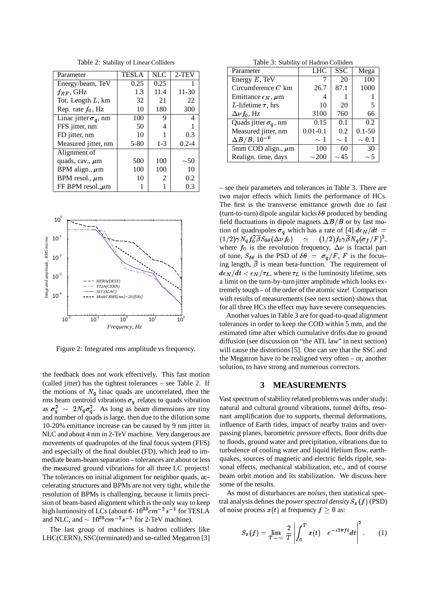| Parameter                    | <b>TESLA</b> | <b>NLC</b>     | $2-TEV$   |
|------------------------------|--------------|----------------|-----------|
| Energy/beam, TeV             | 0.25         | 0.25           |           |
| $f_{RF}$ , GHz               | 1.3          | 11.4           | $11 - 30$ |
| Tot. Length $L$ , km         | 32           | 21             | 22        |
| Rep. rate $f_0$ , Hz         | 10           | 180            | 300       |
| Linac jitter $\sigma_q$ , nm | 100          | 9              |           |
| FFS jitter, nm               | 50           | 4              |           |
| FD jitter, nm                | 10           |                | 0.3       |
| Measured jitter, nm          | $5 - 80$     | $1 - 3$        | $0.2 - 4$ |
| Alignment of                 |              |                |           |
| quads, cav., $\mu$ m         | 500          | 100            | $\sim 50$ |
| BPM align., $\mu$ m          | 100          | 100            | 10        |
| BPM resol., $\mu$ m          | 10           | $\mathfrak{D}$ | 0.2       |
| FF BPM resol., $\mu$ m       |              |                | 0.3       |

Table 2: Stability of Linear Colliders



Figure 2: Integrated rms amplitude vs frequency.

the feedback does not work effectively. This fast motion (called jitter) has the tightest tolerances – see Table 2. If the motions of  $N_q$  linac quads are uncorrelated, then the rms beam centroid vibrations  $\sigma_y$  relates to quads vibration as  $\sigma_v^2 \sim 2N_q \sigma_q^2$ . As long as beam dimensions are tiny and number of quads is large, then due to the dilution some 10-20% emittance increase can be caused by 9 nm jitter in NLC and about 4 nm in 2-TeV machine. Very dangerous are movements of quadrupoles of the final focus system (FFS) and especially of the final doublet (FD), which lead to immediate beam-beam separation – tolerances are about or less the measured ground vibrations for all three LC projects! The tolerances on initial alignment for neighbor quads, accelerating structures and BPMs are not very tight, while the resolution of BPMs is challenging, because it limits precision of beam-based alignment which is the only way to keep high luminosity of LCs (about  $6\cdot 10^{33}cm^{-2}s^{-1}$  for TESLA and NLC, and  $\sim 10^{35}$  cm<sup>-2</sup> s<sup>-1</sup> for 2-TeV machine).

The last group of machines is hadron colliders like LHC(CERN), SSC(terminated) and so-called Megatron [3]

Table 3: Stability of Hadron Colliders

| Parameter                        | LHC          | <b>SSC</b> | Mega       |  |
|----------------------------------|--------------|------------|------------|--|
| Energy $E$ , TeV                 |              | 20         | 100        |  |
| Circumference $C$ km             | 26.7         | 87.1       | 1000       |  |
| Emittance $\epsilon_N$ , $\mu$ m | 4            |            |            |  |
| L-lifetime $\tau$ , hrs          | 10           | 20         | 5          |  |
| $\Delta \nu f_0$ , Hz            | 3100         | 760        | 66         |  |
| Quads jitter $\sigma_q$ , nm     | 0.15         | 0.1        | $0.2\,$    |  |
| Measured jitter, nm              | $0.01 - 0.1$ | 0.2        | $0.1 - 50$ |  |
| $\Delta B/B$ , 10 <sup>-9</sup>  | $\sim 1$     | $\sim 1$   | $\sim 0.1$ |  |
| 5mm COD align., $\mu$ m          | 100          | 60         | 30         |  |
| Realign. time, days              | $\sim$ 200   | $\sim$ 45  | ~1         |  |

– see their parameters and tolerances in Table 3. There are two major effects which limits the performance of HCs. The first is the transverse emittance growth due to fast (turn-to-turn) dipole angular kicks  $\delta\theta$  produced by bending field fluctuations in dipole magnets  $\Delta B/B$  or by fast motion of quadrupoles  $\sigma_q$  which has a rate of [4]  $d\epsilon_N/dt =$  $(1/2)\gamma N_g f_0^2 \beta S_{\delta\theta}(\Delta\nu f_0) \quad \simeq \quad (1/2)f_0\gamma\beta N_g(\sigma_f/F)^2,$ where  $f_0$  is the revolution frequency,  $\Delta \nu$  is fractal part of tune,  $S_{\delta\theta}$  is the PSD of  $\delta\theta = \sigma_q/F$ , F is the focusing length,  $\overline{\beta}$  is mean beta-function. The requirement of  $d\epsilon_N/dt < \epsilon_N/\tau_L$ , where  $\tau_L$  is the luminosity lifetime, sets a limit on the turn-by-turn jitter amplitude which looks extremely tough – of the order of the atomic size! Comparison with results of measurements (see next section) shows that for all three HCs the effect may have severe consequencies.

Another values in Table 3 are for quad-to-quad alignment tolerances in order to keep the COD within 5 mm, and the estimated time after which cumulative drifts due to ground diffusion (see discussion on "the ATL law" in next section) will cause the distortions [5]. One can see that the SSC and the Megatron have to be realigned very often – or, another solution, to have strong and numerous correctors.

#### **3 MEASUREMENTS**

Vast spectrum of stability related problems was under study: natural and cultural ground vibrations, tunnel drifts, resonant amplification due to supports, thermal deformations, influence of Earth tides, impact of nearby trains and overpassing planes, barometric pressure effects, floor drifts due to floods, ground water and precipitation, vibrations due to turbulence of cooling water and liquid Helium flow, earthquakes, sources of magnetic and electric fields ripple, seasonal effects, mechanical stabilization, etc., and of course beam orbit motion and its stabilization. We discuss here some of the results.

As most of disturbances are *noises*, then statistical spectral analysis defines the *power spectral density*  $S_x(f)$  (PSD) of noise process  $x(t)$  at frequency  $f \geq 0$  as:

$$
S_x(f) = \lim_{T \to \infty} \frac{2}{T} \left| \int_0^T x(t) \ e^{-i2\pi ft} dt \right|^2.
$$
 (1)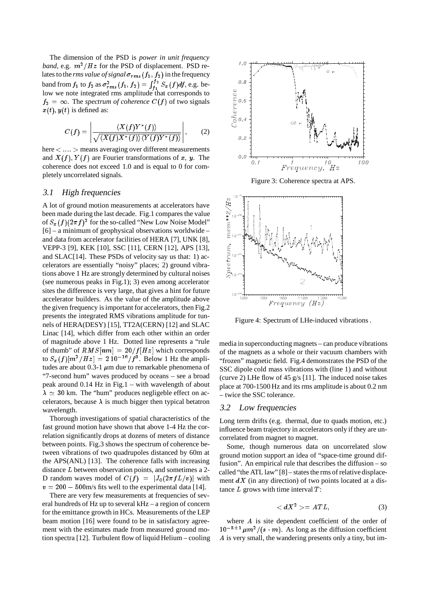The dimension of the PSD is *power in unit frequency band*, e.g.  $m^2/Hz$  for the PSD of displacement. PSD relates to the *rms value of signal*  $\sigma_{rms}(f_1, f_2)$  in the frequency band from  $f_1$  to  $f_2$  as  $\sigma_{rms}^2(f_1, f_2) = \int_{f_1}^{f_2} S_x(f) df$ , e.g. below we note integrated rms amplitude that corresponds to  $f_2 = \infty$ . The *spectrum of coherence*  $C(f)$  of two signals  $x(t)$ ,  $y(t)$  is defined as:

$$
C(f) = \left| \frac{\langle X(f)Y^*(f) \rangle}{\sqrt{\langle X(f)X^*(f) \rangle \langle Y(f)Y^*(f) \rangle}} \right|,
$$
 (2)

here  $\langle \dots \rangle$  means averaging over different measurements and  $X(f)$ ,  $Y(f)$  are Fourier transformations of x, y. The coherence does not exceed 1.0 and is equal to 0 for completely uncorrelated signals.

## 3.1 High frequencies

A lot of ground motion measurements at accelerators have been made during the last decade. Fig.1 compares the value of  $S_x(f)(2\pi f)^2$  for the so-called "New Low Noise Model" [6] – a minimum of geophysical observations worldwide – and data from accelerator facilities of HERA [7], UNK [8], VEPP-3 [9], KEK [10], SSC [11], CERN [12], APS [13], and SLAC[14]. These PSDs of velocity say us that: 1) accelerators are essentially "noisy" places; 2) ground vibrations above 1 Hz are strongly determined by cultural noises (see numerous peaks in Fig.1); 3) even among accelerator sites the difference is very large, that gives a hint for future accelerator builders. As the value of the amplitude above the given frequency is important for accelerators, then Fig.2 presents the integrated RMS vibrations amplitude for tunnels of HERA(DESY) [15], TT2A(CERN) [12] and SLAC Linac [14], which differ from each other within an order of magnitude above 1 Hz. Dotted line represents a "rule of thumb" of  $RMS[nm] = 20/f[Hz]$  which corresponds to  $S_x(f)[m^2/Hz] = 2 10^{-16}/f^3$ . Below 1 Hz the amplitudes are about 0.3-1  $\mu$ m due to remarkable phenomena of "7-second hum" waves produced by oceans – see a broad peak around 0.14 Hz in Fig.1 – with wavelength of about  $\lambda \simeq 30$  km. The "hum" produces negligeble effect on accelerators, because  $\lambda$  is much bigger then typical betatron wavelength.

Thorough investigations of spatial characteristics of the fast ground motion have shown that above 1-4 Hz the correlation significantly drops at dozens of meters of distance between points. Fig.3 shows the spectrum of coherence between vibrations of two quadrupoles distanced by 60m at the APS(ANL) [13]. The coherence falls with increasing distance L between observation points, and sometimes a 2- D random waves model of  $C(f) = |J_0(2\pi f L/v)|$  with  $v = 200 - 500$  m/s fits well to the experimental data [14].

There are very few measurements at frequencies of several hundreds of Hz up to several kHz – a region of concern for the emittance growth in HCs. Measurements of the LEP beam motion [16] were found to be in satisfactory agreement with the estimates made from measured ground motion spectra [12]. Turbulent flow of liquid Helium – cooling



Figure 4: Spectrum of LHe-induced vibrations .

media in superconducting magnets – can produce vibrations of the magnets as a whole or their vacuum chambers with "frozen" magnetic field. Fig.4 demonstrates the PSD of the SSC dipole cold mass vibrations with (line 1) and without (curve 2) LHe flow of 45 g/s [11]. The induced noise takes place at 700-1500 Hz and its rms amplitude is about 0.2 nm – twice the SSC tolerance.

#### 3.2 Low frequencies

Long term drifts (e.g. thermal, due to quads motion, etc.) influence beam trajectory in accelerators only if they are uncorrelated from magnet to magnet.

Some, though numerous data on uncorrelated slow ground motion support an idea of "space-time ground diffusion". An empirical rule that describes the diffusion – so called "the ATL law" [8] – states the rms of relative displacement  $dX$  (in any direction) of two points located at a distance  $L$  grows with time interval  $T$ :

$$
\langle dX^2 \rangle = ATL,\tag{3}
$$

where A is site dependent coefficient of the order of  $10^{-5\pm1} \mu m^2/(s \cdot m)$ . As long as the diffusion coefficient A is very small, the wandering presents only a tiny, but im-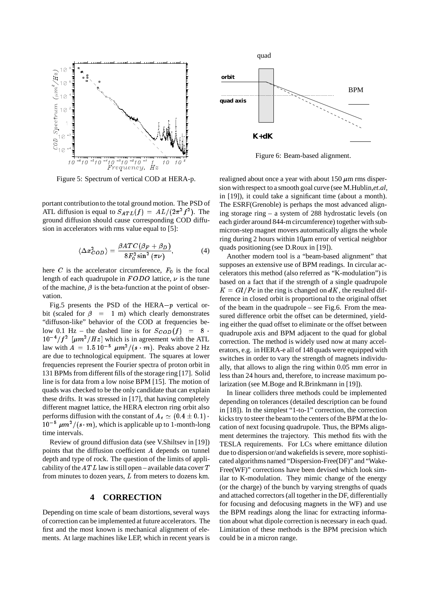

Figure 5: Spectrum of vertical COD at HERA-p.

portant contributionto the total ground motion. The PSD of ATL diffusion is equal to  $S_{ATL}(f) = AL/(2\pi^2f^2)$ . The ground diffusion should cause corresponding COD diffusion in accelerators with rms value equal to [5]:

$$
\langle \Delta x_{COD}^2 \rangle = \frac{\beta ATC(\beta_F + \beta_D)}{8F_0^2 \sin^2(\pi \nu)},\tag{4}
$$

here C is the accelerator circumference,  $F_0$  is the focal length of each quadrupole in  $FODO$  lattice,  $\nu$  is the tune of the machine,  $\beta$  is the beta-function at the point of observation.

Fig.5 presents the PSD of the HERA $-p$  vertical orbit (scaled for  $\beta = 1$  m) which clearly demonstrates "diffuson-like" behavior of the COD at frequencies below 0.1 Hz – the dashed line is for  $S_{COD}(f) = 8$ .  $10^{-4}/f^2$  [ $\mu m^2/Hz$ ] which is in agreement with the ATL law with  $A = 1.5 10^{-5} \mu m^2/(s \cdot m)$ . Peaks above 2 Hz are due to technological equipment. The squares at lower frequencies represent the Fourier spectra of proton orbit in 131 BPMs from different fills of the storage ring [17]. Solid line is for data from a low noise BPM [15]. The motion of quads was checked to be the only candidate that can explain these drifts. It was stressed in [17], that having completely different magnet lattice, the HERA electron ring orbit also performs diffusion with the constant of  $A_e \simeq (0.4 \pm 0.1)$ .  $10^{-5} \mu m^2/(s \cdot m)$ , which is applicable up to 1-month-long time intervals.

Review of ground diffusion data (see V.Shiltsev in [19]) points that the diffusion coefficient A depends on tunnel depth and type of rock. The question of the limits of applicability of the  $ATL$  law is still open – available data cover  $T$ from minutes to dozen years, L from meters to dozens km.

### **4 CORRECTION**

Depending on time scale of beam distortions, several ways of correction can be implemented at future accelerators. The first and the most known is mechanical alignment of elements. At large machines like LEP, which in recent years is



Figure 6: Beam-based alignment.

realigned about once a year with about  $150 \mu m$  rms dispersion withrespect to a smooth goal curve (see M.Hublin,*et.al,* in [19]), it could take a significant time (about a month). The ESRF(Grenoble) is perhaps the most advanced aligning storage ring – a system of 288 hydrostatic levels (on each girder around 844-m circumference) together with submicron-step magnet movers automatically aligns the whole ring during 2 hours within  $10\mu$ m error of vertical neighbor quads positioning (see D.Roux in [19]).

Another modern tool is a "beam-based alignment" that supposes an extensive use of BPM readings. In circular accelerators this method (also referred as "K-modulation") is based on a fact that if the strength of a single quadrupole  $K = GI/P c$  in the ring is changed on dK, the resulted difference in closed orbit is proportional to the original offset of the beam in the quadrupole – see Fig.6. From the measured difference orbit the offset can be determined, yielding either the quad offset to eliminate or the offset between quadrupole axis and BPM adjacent to the quad for global correction. The method is widely used now at many accelerators, e.g. in HERA-e all of 148 quads were equipped with switches in order to vary the strength of magnets individually, that allows to align the ring within 0.05 mm error in less than 24 hours and, therefore, to increase maximum polarization (see M.Boge and R.Brinkmann in [19]).

In linear colliders three methods could be implemented depending on tolerances (detailed description can be found in [18]). In the simplest "1-to-1" correction, the correction kicks try to steer the beam to the centers of the BPM at the location of next focusing quadrupole. Thus, the BPMs alignment determines the trajectory. This method fits with the TESLA requirements. For LCs where emittance dilution due to dispersion or/and wakefields is severe, more sophisticated algorithms named "Dispersion-Free(DF)" and "Wake-Free(WF)" corrections have been devised which look similar to K-modulation. They mimic change of the energy (or the charge) of the bunch by varying strengths of quads and attached correctors (all together in the DF, differentially for focusing and defocusing magnets in the WF) and use the BPM readings along the linac for extracting information about what dipole correction is necessary in each quad. Limitation of these methods is the BPM precision which could be in a micron range.